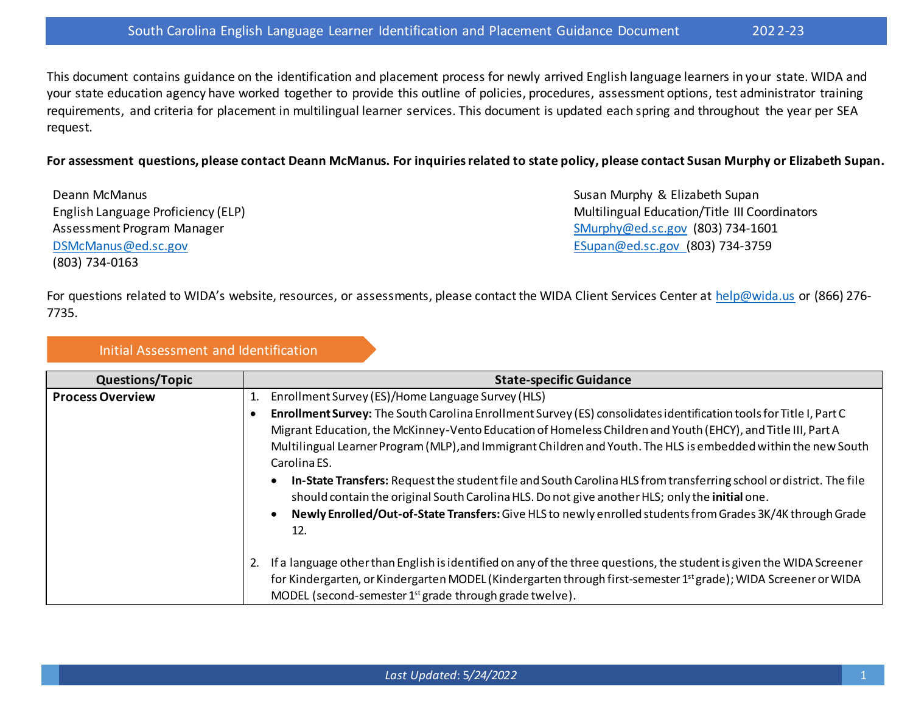This document contains guidance on the identification and placement process for newly arrived English language learners in your state. WIDA and your state education agency have worked together to provide this outline of policies, procedures, assessment options, test administrator training requirements, and criteria for placement in multilingual learner services. This document is updated each spring and throughout the year per SEA request.

#### **For assessment questions, please contact Deann McManus. For inquiriesrelated to state policy, please contact Susan Murphy or Elizabeth Supan.**

Deann McManus English Language Proficiency (ELP) Assessment Program Manager [DSMcManus@ed.sc.gov](mailto:dsmcmanus@ed.sc.gov) (803) 734-0163

Susan Murphy & Elizabeth Supan Multilingual Education/Title III Coordinators [SMurphy@ed.sc.gov](mailto:SMurphy@ed.sc.gov) (803) 734-1601 [ESupan@ed.sc.gov](mailto:ESupan@ed.sc.gov) (803) 734-3759

For questions related to WIDA's website, resources, or assessments, please contact the WIDA Client Services Center at [help@wida.us](mailto:help@wida.us) or (866) 276- 7735.

#### Initial Assessment and Identification

| <b>Questions/Topic</b>  | <b>State-specific Guidance</b>                                                                                                                                                                                                                                                                                                                                       |
|-------------------------|----------------------------------------------------------------------------------------------------------------------------------------------------------------------------------------------------------------------------------------------------------------------------------------------------------------------------------------------------------------------|
| <b>Process Overview</b> | Enrollment Survey (ES)/Home Language Survey (HLS)                                                                                                                                                                                                                                                                                                                    |
|                         | Enrollment Survey: The South Carolina Enrollment Survey (ES) consolidates identification tools for Title I, Part C<br>Migrant Education, the McKinney-Vento Education of Homeless Children and Youth (EHCY), and Title III, Part A<br>Multilingual Learner Program (MLP), and Immigrant Children and Youth. The HLS is embedded within the new South<br>Carolina ES. |
|                         | In-State Transfers: Request the student file and South Carolina HLS from transferring school or district. The file<br>should contain the original South Carolina HLS. Do not give another HLS; only the initial one.<br>Newly Enrolled/Out-of-State Transfers: Give HLS to newly enrolled students from Grades 3K/4K through Grade<br>$\bullet$<br>12.               |
|                         | If a language other than English is identified on any of the three questions, the student is given the WIDA Screener<br>for Kindergarten, or Kindergarten MODEL (Kindergarten through first-semester 1 <sup>st</sup> grade); WIDA Screener or WIDA<br>MODEL (second-semester 1 <sup>st</sup> grade through grade twelve).                                            |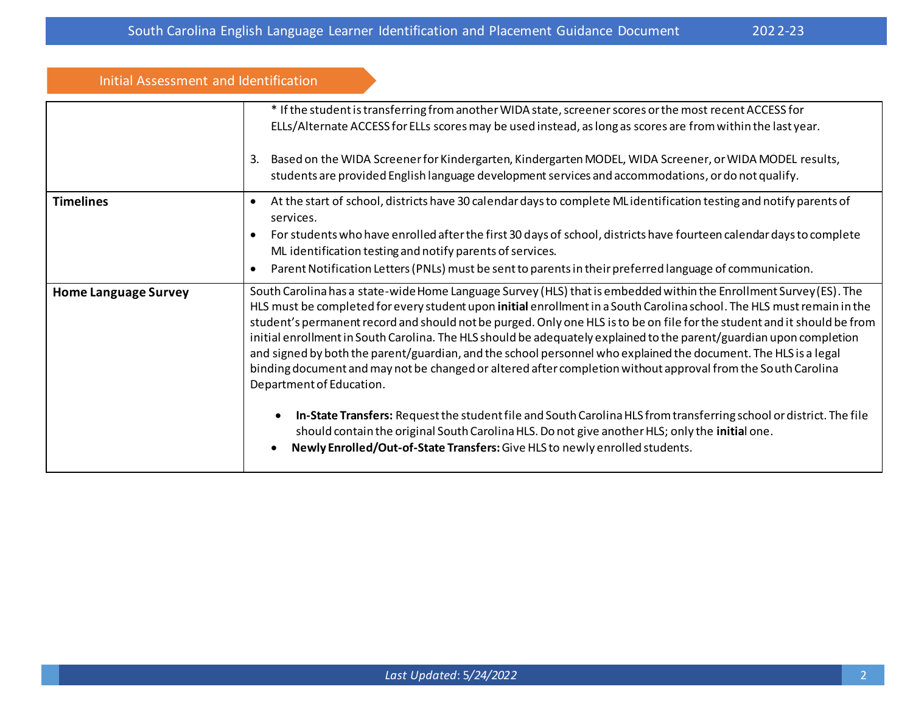| Initial Assessment and Identification |                                                                                                                                                                                                                                                                                                                                                                                                                                                                                                                                                                                                                                          |
|---------------------------------------|------------------------------------------------------------------------------------------------------------------------------------------------------------------------------------------------------------------------------------------------------------------------------------------------------------------------------------------------------------------------------------------------------------------------------------------------------------------------------------------------------------------------------------------------------------------------------------------------------------------------------------------|
|                                       | * If the student is transferring from another WIDA state, screener scores or the most recent ACCESS for<br>ELLs/Alternate ACCESS for ELLs scores may be used instead, as long as scores are from within the last year.                                                                                                                                                                                                                                                                                                                                                                                                                   |
|                                       | Based on the WIDA Screener for Kindergarten, Kindergarten MODEL, WIDA Screener, or WIDA MODEL results,<br>3.<br>students are provided English language development services and accommodations, or do not qualify.                                                                                                                                                                                                                                                                                                                                                                                                                       |
| <b>Timelines</b>                      | At the start of school, districts have 30 calendar days to complete ML identification testing and notify parents of<br>٠<br>services.                                                                                                                                                                                                                                                                                                                                                                                                                                                                                                    |
|                                       | For students who have enrolled after the first 30 days of school, districts have fourteen calendar days to complete<br>$\bullet$<br>ML identification testing and notify parents of services.<br>Parent Notification Letters (PNLs) must be sent to parents in their preferred language of communication.<br>$\bullet$                                                                                                                                                                                                                                                                                                                   |
|                                       | South Carolina has a state-wide Home Language Survey (HLS) that is embedded within the Enrollment Survey (ES). The                                                                                                                                                                                                                                                                                                                                                                                                                                                                                                                       |
| <b>Home Language Survey</b>           | HLS must be completed for every student upon initial enrollment in a South Carolina school. The HLS must remain in the<br>student's permanent record and should not be purged. Only one HLS is to be on file for the student and it should be from<br>initial enrollment in South Carolina. The HLS should be adequately explained to the parent/guardian upon completion<br>and signed by both the parent/guardian, and the school personnel who explained the document. The HLS is a legal<br>binding document and may not be changed or altered after completion without approval from the South Carolina<br>Department of Education. |
|                                       | In-State Transfers: Request the student file and South Carolina HLS from transferring school or district. The file<br>should contain the original South Carolina HLS. Do not give another HLS; only the initial one.<br>Newly Enrolled/Out-of-State Transfers: Give HLS to newly enrolled students.<br>$\bullet$                                                                                                                                                                                                                                                                                                                         |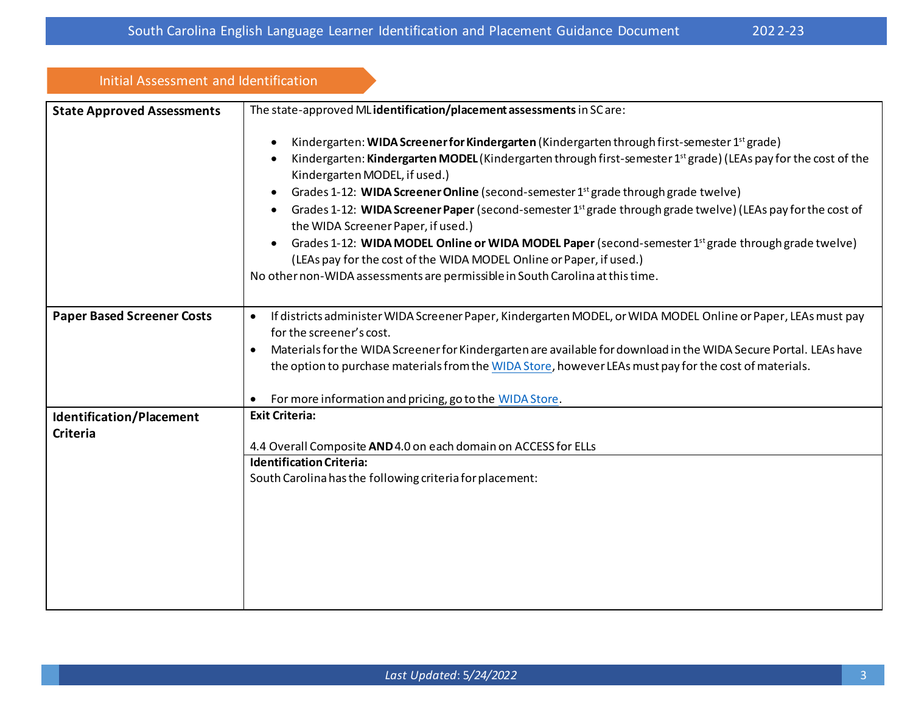| Initial Assessment and Identification       |                                                                                                                                                                                                                                                                                                                                                                                                                                                                                                                                                                                                                                                                                                                                                                                                                          |
|---------------------------------------------|--------------------------------------------------------------------------------------------------------------------------------------------------------------------------------------------------------------------------------------------------------------------------------------------------------------------------------------------------------------------------------------------------------------------------------------------------------------------------------------------------------------------------------------------------------------------------------------------------------------------------------------------------------------------------------------------------------------------------------------------------------------------------------------------------------------------------|
| <b>State Approved Assessments</b>           | The state-approved ML identification/placement assessments in SC are:                                                                                                                                                                                                                                                                                                                                                                                                                                                                                                                                                                                                                                                                                                                                                    |
|                                             | Kindergarten: WIDA Screener for Kindergarten (Kindergarten through first-semester 1 <sup>st</sup> grade)<br>Kindergarten: Kindergarten MODEL (Kindergarten through first-semester 1 <sup>st</sup> grade) (LEAs pay for the cost of the<br>Kindergarten MODEL, if used.)<br>Grades 1-12: WIDA Screener Online (second-semester $1st$ grade through grade twelve)<br>Grades 1-12: WIDA Screener Paper (second-semester 1 <sup>st</sup> grade through grade twelve) (LEAs pay for the cost of<br>the WIDA Screener Paper, if used.)<br>Grades 1-12: WIDA MODEL Online or WIDA MODEL Paper (second-semester 1 <sup>st</sup> grade through grade twelve)<br>$\bullet$<br>(LEAs pay for the cost of the WIDA MODEL Online or Paper, if used.)<br>No other non-WIDA assessments are permissible in South Carolina at this time. |
| <b>Paper Based Screener Costs</b>           | If districts administer WIDA Screener Paper, Kindergarten MODEL, or WIDA MODEL Online or Paper, LEAs must pay<br>for the screener's cost.<br>Materials for the WIDA Screener for Kindergarten are available for download in the WIDA Secure Portal. LEAs have<br>$\bullet$<br>the option to purchase materials from the WIDA Store, however LEAs must pay for the cost of materials.<br>For more information and pricing, go to the WIDA Store.                                                                                                                                                                                                                                                                                                                                                                          |
| Identification/Placement<br><b>Criteria</b> | <b>Exit Criteria:</b><br>4.4 Overall Composite AND 4.0 on each domain on ACCESS for ELLs<br><b>Identification Criteria:</b><br>South Carolina has the following criteria for placement:                                                                                                                                                                                                                                                                                                                                                                                                                                                                                                                                                                                                                                  |
|                                             |                                                                                                                                                                                                                                                                                                                                                                                                                                                                                                                                                                                                                                                                                                                                                                                                                          |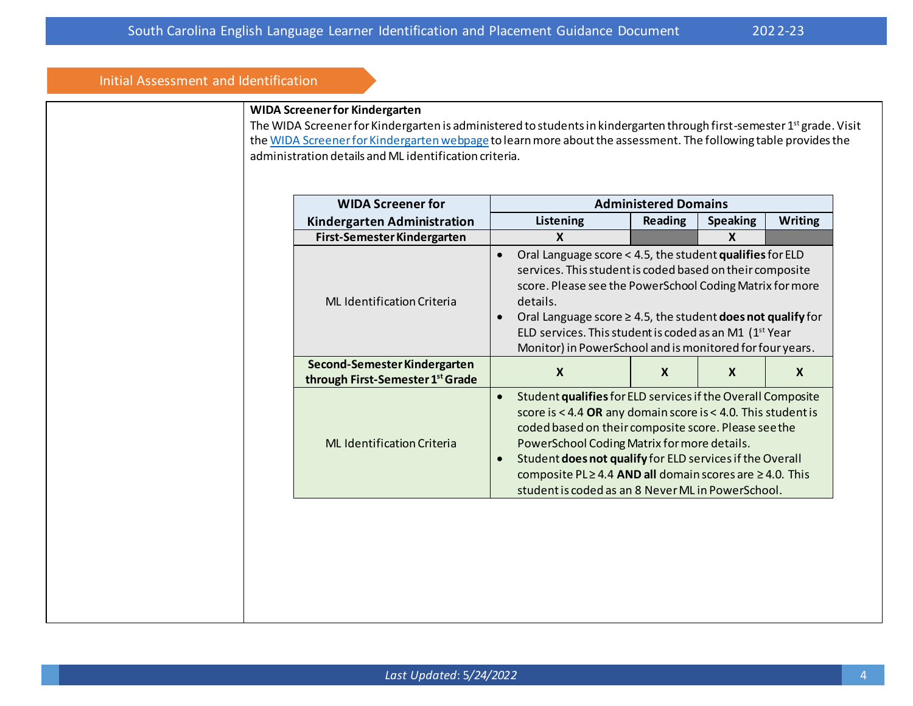### Initial Assessment and Identification

#### **WIDA Screener for Kindergarten**

The WIDA Screener for Kindergarten is administered to students in kindergarten through first-semester 1<sup>st</sup> grade. Visit th[e WIDA Screener for Kindergarten webpage](https://wida.wisc.edu/assess/screener/kindergarten) to learn more about the assessment. The following table provides the administration details and ML identification criteria.

| <b>WIDA Screener for</b>                                         |                                                                                                                                                                                                                                                                                                                                                                                                           | <b>Administered Domains</b> |                 |                |
|------------------------------------------------------------------|-----------------------------------------------------------------------------------------------------------------------------------------------------------------------------------------------------------------------------------------------------------------------------------------------------------------------------------------------------------------------------------------------------------|-----------------------------|-----------------|----------------|
| Kindergarten Administration                                      | <b>Listening</b>                                                                                                                                                                                                                                                                                                                                                                                          | <b>Reading</b>              | <b>Speaking</b> | <b>Writing</b> |
| First-Semester Kindergarten                                      | X                                                                                                                                                                                                                                                                                                                                                                                                         |                             | X               |                |
| <b>ML</b> Identification Criteria                                | Oral Language score < 4.5, the student qualifies for ELD<br>services. This student is coded based on their composite<br>score. Please see the PowerSchool Coding Matrix for more<br>details.<br>Oral Language score $\geq$ 4.5, the student <b>does not qualify</b> for<br>ELD services. This student is coded as an M1 (1 <sup>st</sup> Year<br>Monitor) in PowerSchool and is monitored for four years. |                             |                 |                |
| Second-Semester Kindergarten<br>through First-Semester 1st Grade | X                                                                                                                                                                                                                                                                                                                                                                                                         | $\boldsymbol{X}$            | X               | X              |
| <b>ML Identification Criteria</b>                                | Student qualifies for ELD services if the Overall Composite<br>$\bullet$<br>score is $<$ 4.4 OR any domain score is $<$ 4.0. This student is<br>coded based on their composite score. Please see the<br>PowerSchool Coding Matrix for more details.<br>Student does not qualify for ELD services if the Overall<br>$\bullet$<br>composite PL $\geq$ 4.4 AND all domain scores are $\geq$ 4.0. This        |                             |                 |                |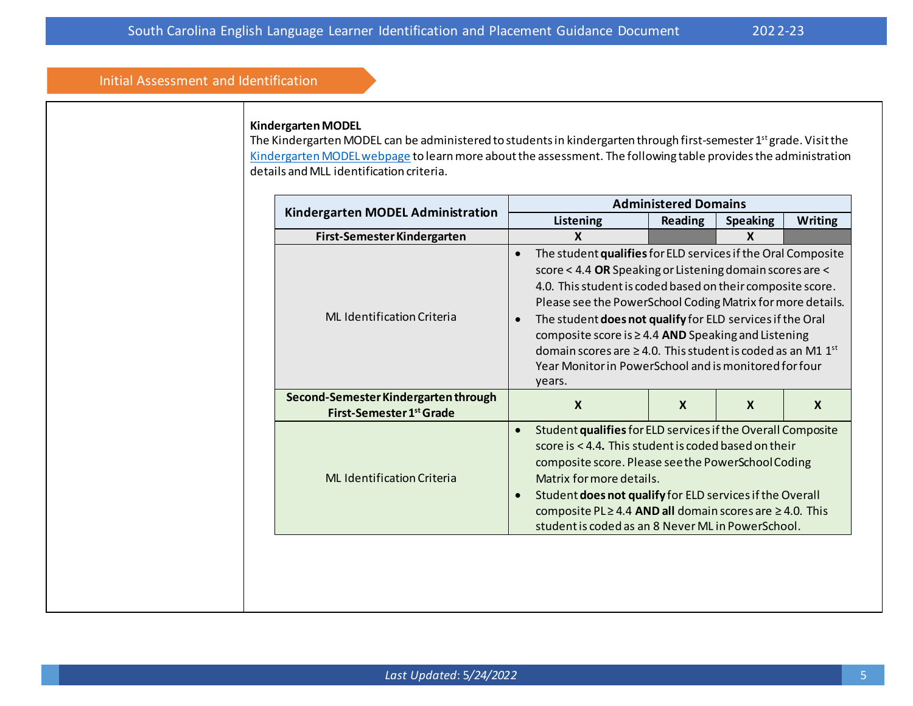#### Initial Assessment and Identification

#### **Kindergarten MODEL**

The Kindergarten MODEL can be administered to students in kindergarten through first-semester 1<sup>st</sup> grade. Visit the [Kindergarten MODEL webpage](https://wida.wisc.edu/assess/model/kindergarten) to learn more about the assessment. The following table provides the administration details and MLL identification criteria.

|                                                                  | <b>Administered Domains</b>                                                                                                                                                                                                                                                                                                                                                                                                                                                                                                                                |                  |                 |                  |
|------------------------------------------------------------------|------------------------------------------------------------------------------------------------------------------------------------------------------------------------------------------------------------------------------------------------------------------------------------------------------------------------------------------------------------------------------------------------------------------------------------------------------------------------------------------------------------------------------------------------------------|------------------|-----------------|------------------|
| <b>Kindergarten MODEL Administration</b>                         | Listening                                                                                                                                                                                                                                                                                                                                                                                                                                                                                                                                                  | <b>Reading</b>   | <b>Speaking</b> | <b>Writing</b>   |
| First-Semester Kindergarten                                      | X                                                                                                                                                                                                                                                                                                                                                                                                                                                                                                                                                          |                  | $\mathbf{x}$    |                  |
| <b>ML</b> Identification Criteria                                | The student qualifies for ELD services if the Oral Composite<br>$\bullet$<br>score < 4.4 OR Speaking or Listening domain scores are <<br>4.0. This student is coded based on their composite score.<br>Please see the PowerSchool Coding Matrix for more details.<br>The student does not qualify for ELD services if the Oral<br>$\bullet$<br>composite score is $\geq$ 4.4 AND Speaking and Listening<br>domain scores are $\geq$ 4.0. This student is coded as an M1 1 <sup>st</sup><br>Year Monitor in PowerSchool and is monitored for four<br>years. |                  |                 |                  |
| Second-Semester Kindergarten through<br>First-Semester 1st Grade | $\boldsymbol{X}$                                                                                                                                                                                                                                                                                                                                                                                                                                                                                                                                           | $\boldsymbol{X}$ | $\mathbf{x}$    | $\boldsymbol{X}$ |
| <b>ML Identification Criteria</b>                                | Student qualifies for ELD services if the Overall Composite<br>$\bullet$<br>score is < 4.4. This student is coded based on their<br>composite score. Please see the PowerSchool Coding<br>Matrix for more details.<br>Student does not qualify for ELD services if the Overall<br>$\bullet$<br>composite PL $\geq$ 4.4 AND all domain scores are $\geq$ 4.0. This<br>student is coded as an 8 Never ML in PowerSchool.                                                                                                                                     |                  |                 |                  |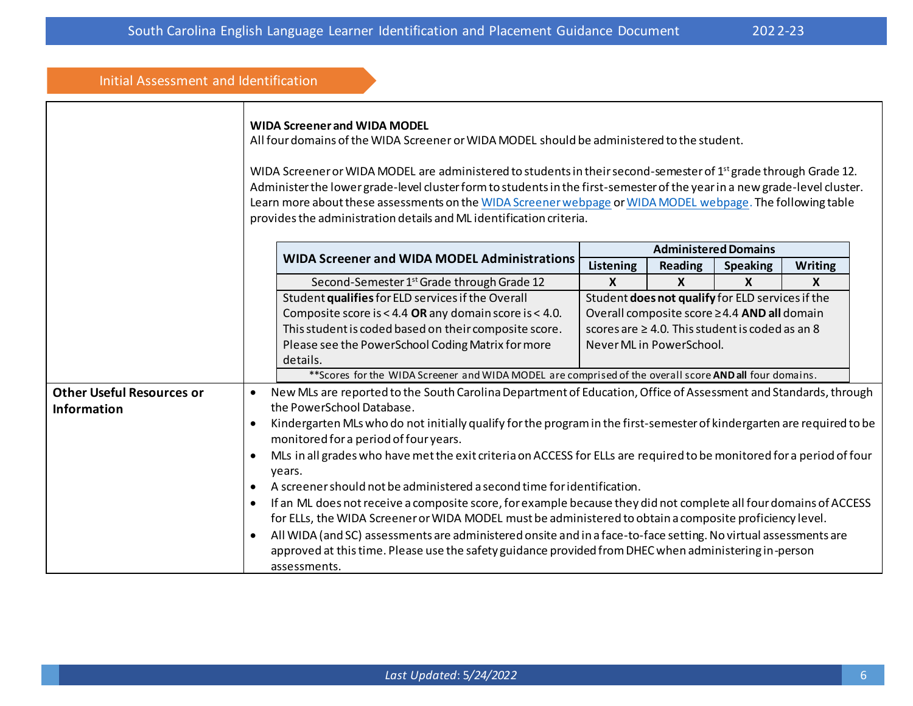| Initial Assessment and Identification |                                                                                                                                     |                                                                                                                                                                                                                                                                                                                                                                                                                                                                                                                                                                                     |                             |                          |                                                       |                |  |
|---------------------------------------|-------------------------------------------------------------------------------------------------------------------------------------|-------------------------------------------------------------------------------------------------------------------------------------------------------------------------------------------------------------------------------------------------------------------------------------------------------------------------------------------------------------------------------------------------------------------------------------------------------------------------------------------------------------------------------------------------------------------------------------|-----------------------------|--------------------------|-------------------------------------------------------|----------------|--|
|                                       |                                                                                                                                     | <b>WIDA Screener and WIDA MODEL</b><br>All four domains of the WIDA Screener or WIDA MODEL should be administered to the student.<br>WIDA Screener or WIDA MODEL are administered to students in their second-semester of 1 <sup>st</sup> grade through Grade 12.<br>Administer the lower grade-level cluster form to students in the first-semester of the year in a new grade-level cluster.<br>Learn more about these assessments on the WIDA Screener webpage or WIDA MODEL webpage. The following table<br>provides the administration details and ML identification criteria. |                             |                          |                                                       |                |  |
|                                       |                                                                                                                                     | <b>WIDA Screener and WIDA MODEL Administrations</b>                                                                                                                                                                                                                                                                                                                                                                                                                                                                                                                                 | <b>Administered Domains</b> |                          |                                                       |                |  |
|                                       |                                                                                                                                     |                                                                                                                                                                                                                                                                                                                                                                                                                                                                                                                                                                                     | Listening                   | <b>Reading</b>           | <b>Speaking</b>                                       | <b>Writing</b> |  |
|                                       |                                                                                                                                     | Second-Semester 1 <sup>st</sup> Grade through Grade 12                                                                                                                                                                                                                                                                                                                                                                                                                                                                                                                              | X                           | X                        | X                                                     | X              |  |
|                                       |                                                                                                                                     | Student qualifies for ELD services if the Overall                                                                                                                                                                                                                                                                                                                                                                                                                                                                                                                                   |                             |                          | Student does not qualify for ELD services if the      |                |  |
|                                       |                                                                                                                                     | Composite score is < 4.4 OR any domain score is < 4.0.                                                                                                                                                                                                                                                                                                                                                                                                                                                                                                                              |                             |                          | Overall composite score ≥4.4 AND all domain           |                |  |
|                                       |                                                                                                                                     | This student is coded based on their composite score.                                                                                                                                                                                                                                                                                                                                                                                                                                                                                                                               |                             |                          | scores are $\geq 4.0$ . This student is coded as an 8 |                |  |
|                                       |                                                                                                                                     | Please see the PowerSchool Coding Matrix for more                                                                                                                                                                                                                                                                                                                                                                                                                                                                                                                                   |                             | Never ML in PowerSchool. |                                                       |                |  |
|                                       |                                                                                                                                     | details.                                                                                                                                                                                                                                                                                                                                                                                                                                                                                                                                                                            |                             |                          |                                                       |                |  |
|                                       |                                                                                                                                     | ** Scores for the WIDA Screener and WIDA MODEL are comprised of the overall score AND all four domains.                                                                                                                                                                                                                                                                                                                                                                                                                                                                             |                             |                          |                                                       |                |  |
| <b>Other Useful Resources or</b>      | $\bullet$                                                                                                                           | New MLs are reported to the South Carolina Department of Education, Office of Assessment and Standards, through                                                                                                                                                                                                                                                                                                                                                                                                                                                                     |                             |                          |                                                       |                |  |
| <b>Information</b>                    | the PowerSchool Database.                                                                                                           |                                                                                                                                                                                                                                                                                                                                                                                                                                                                                                                                                                                     |                             |                          |                                                       |                |  |
|                                       | Kindergarten MLs who do not initially qualify for the program in the first-semester of kindergarten are required to be<br>$\bullet$ |                                                                                                                                                                                                                                                                                                                                                                                                                                                                                                                                                                                     |                             |                          |                                                       |                |  |
|                                       |                                                                                                                                     | monitored for a period of four years.                                                                                                                                                                                                                                                                                                                                                                                                                                                                                                                                               |                             |                          |                                                       |                |  |
|                                       | ٠                                                                                                                                   | MLs in all grades who have met the exit criteria on ACCESS for ELLs are required to be monitored for a period of four                                                                                                                                                                                                                                                                                                                                                                                                                                                               |                             |                          |                                                       |                |  |
|                                       |                                                                                                                                     | years.                                                                                                                                                                                                                                                                                                                                                                                                                                                                                                                                                                              |                             |                          |                                                       |                |  |
|                                       |                                                                                                                                     | A screener should not be administered a second time for identification.                                                                                                                                                                                                                                                                                                                                                                                                                                                                                                             |                             |                          |                                                       |                |  |
|                                       | $\bullet$                                                                                                                           | If an ML does not receive a composite score, for example because they did not complete all four domains of ACCESS                                                                                                                                                                                                                                                                                                                                                                                                                                                                   |                             |                          |                                                       |                |  |
|                                       |                                                                                                                                     | for ELLs, the WIDA Screener or WIDA MODEL must be administered to obtain a composite proficiency level.                                                                                                                                                                                                                                                                                                                                                                                                                                                                             |                             |                          |                                                       |                |  |
|                                       | $\bullet$                                                                                                                           | All WIDA (and SC) assessments are administered onsite and in a face-to-face setting. No virtual assessments are                                                                                                                                                                                                                                                                                                                                                                                                                                                                     |                             |                          |                                                       |                |  |
|                                       |                                                                                                                                     | approved at this time. Please use the safety guidance provided from DHEC when administering in-person                                                                                                                                                                                                                                                                                                                                                                                                                                                                               |                             |                          |                                                       |                |  |
|                                       |                                                                                                                                     | assessments.                                                                                                                                                                                                                                                                                                                                                                                                                                                                                                                                                                        |                             |                          |                                                       |                |  |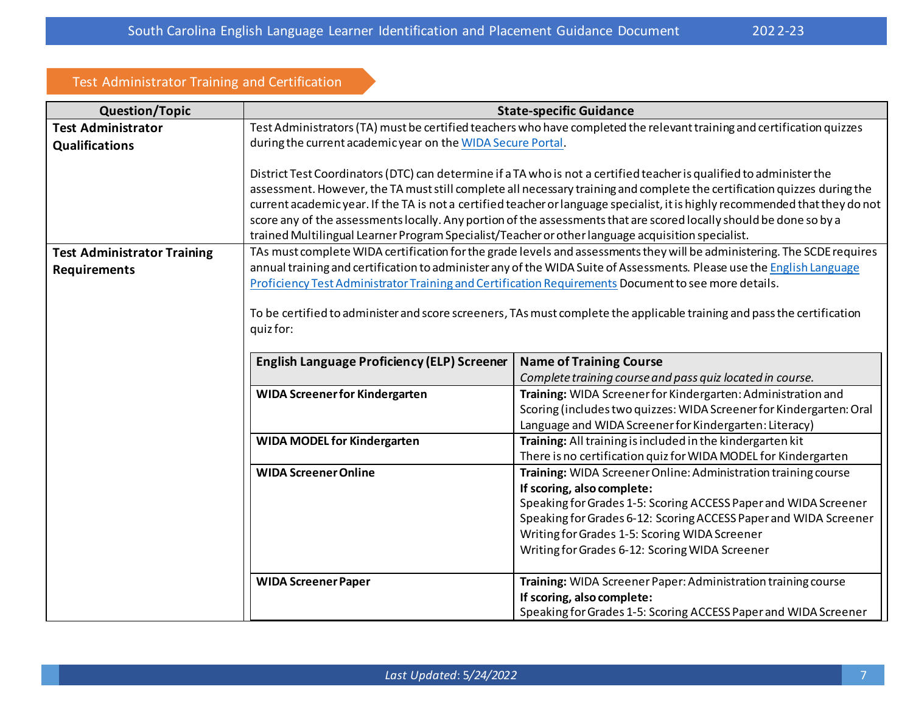## Test Administrator Training and Certification

| <b>Question/Topic</b>              | <b>State-specific Guidance</b>                                                                                                                                                                                                                                                                                                                                                                                                                                                                                                                                                                                |                                                                                                                       |  |  |  |
|------------------------------------|---------------------------------------------------------------------------------------------------------------------------------------------------------------------------------------------------------------------------------------------------------------------------------------------------------------------------------------------------------------------------------------------------------------------------------------------------------------------------------------------------------------------------------------------------------------------------------------------------------------|-----------------------------------------------------------------------------------------------------------------------|--|--|--|
| <b>Test Administrator</b>          | Test Administrators (TA) must be certified teachers who have completed the relevant training and certification quizzes                                                                                                                                                                                                                                                                                                                                                                                                                                                                                        |                                                                                                                       |  |  |  |
| <b>Qualifications</b>              | during the current academic year on the WIDA Secure Portal.                                                                                                                                                                                                                                                                                                                                                                                                                                                                                                                                                   |                                                                                                                       |  |  |  |
|                                    | District Test Coordinators (DTC) can determine if a TA who is not a certified teacher is qualified to administer the<br>assessment. However, the TA must still complete all necessary training and complete the certification quizzes during the<br>current academic year. If the TA is not a certified teacher or language specialist, it is highly recommended that they do not<br>score any of the assessments locally. Any portion of the assessments that are scored locally should be done so by a<br>trained Multilingual Learner Program Specialist/Teacher or other language acquisition specialist. |                                                                                                                       |  |  |  |
| <b>Test Administrator Training</b> | TAs must complete WIDA certification for the grade levels and assessments they will be administering. The SCDE requires                                                                                                                                                                                                                                                                                                                                                                                                                                                                                       |                                                                                                                       |  |  |  |
| <b>Requirements</b>                |                                                                                                                                                                                                                                                                                                                                                                                                                                                                                                                                                                                                               | annual training and certification to administer any of the WIDA Suite of Assessments. Please use the English Language |  |  |  |
|                                    |                                                                                                                                                                                                                                                                                                                                                                                                                                                                                                                                                                                                               | Proficiency Test Administrator Training and Certification Requirements Document to see more details.                  |  |  |  |
|                                    | To be certified to administer and score screeners, TAs must complete the applicable training and pass the certification<br>quiz for:                                                                                                                                                                                                                                                                                                                                                                                                                                                                          |                                                                                                                       |  |  |  |
|                                    | <b>English Language Proficiency (ELP) Screener</b><br><b>Name of Training Course</b>                                                                                                                                                                                                                                                                                                                                                                                                                                                                                                                          |                                                                                                                       |  |  |  |
|                                    | Complete training course and pass quiz located in course.                                                                                                                                                                                                                                                                                                                                                                                                                                                                                                                                                     |                                                                                                                       |  |  |  |
|                                    | <b>WIDA Screener for Kindergarten</b>                                                                                                                                                                                                                                                                                                                                                                                                                                                                                                                                                                         | Training: WIDA Screener for Kindergarten: Administration and                                                          |  |  |  |
|                                    |                                                                                                                                                                                                                                                                                                                                                                                                                                                                                                                                                                                                               | Scoring (includes two quizzes: WIDA Screener for Kindergarten: Oral                                                   |  |  |  |
|                                    | Language and WIDA Screener for Kindergarten: Literacy)                                                                                                                                                                                                                                                                                                                                                                                                                                                                                                                                                        |                                                                                                                       |  |  |  |
|                                    | <b>WIDA MODEL for Kindergarten</b><br>Training: All training is included in the kindergarten kit                                                                                                                                                                                                                                                                                                                                                                                                                                                                                                              |                                                                                                                       |  |  |  |
|                                    | <b>WIDA Screener Online</b>                                                                                                                                                                                                                                                                                                                                                                                                                                                                                                                                                                                   | There is no certification quiz for WIDA MODEL for Kindergarten                                                        |  |  |  |
|                                    | Training: WIDA Screener Online: Administration training course<br>If scoring, also complete:                                                                                                                                                                                                                                                                                                                                                                                                                                                                                                                  |                                                                                                                       |  |  |  |
|                                    |                                                                                                                                                                                                                                                                                                                                                                                                                                                                                                                                                                                                               | Speaking for Grades 1-5: Scoring ACCESS Paper and WIDA Screener                                                       |  |  |  |
|                                    |                                                                                                                                                                                                                                                                                                                                                                                                                                                                                                                                                                                                               | Speaking for Grades 6-12: Scoring ACCESS Paper and WIDA Screener                                                      |  |  |  |
|                                    |                                                                                                                                                                                                                                                                                                                                                                                                                                                                                                                                                                                                               | Writing for Grades 1-5: Scoring WIDA Screener                                                                         |  |  |  |
|                                    |                                                                                                                                                                                                                                                                                                                                                                                                                                                                                                                                                                                                               | Writing for Grades 6-12: Scoring WIDA Screener                                                                        |  |  |  |
|                                    | <b>WIDA Screener Paper</b>                                                                                                                                                                                                                                                                                                                                                                                                                                                                                                                                                                                    | Training: WIDA Screener Paper: Administration training course                                                         |  |  |  |
|                                    |                                                                                                                                                                                                                                                                                                                                                                                                                                                                                                                                                                                                               | If scoring, also complete:                                                                                            |  |  |  |
|                                    |                                                                                                                                                                                                                                                                                                                                                                                                                                                                                                                                                                                                               | Speaking for Grades 1-5: Scoring ACCESS Paper and WIDA Screener                                                       |  |  |  |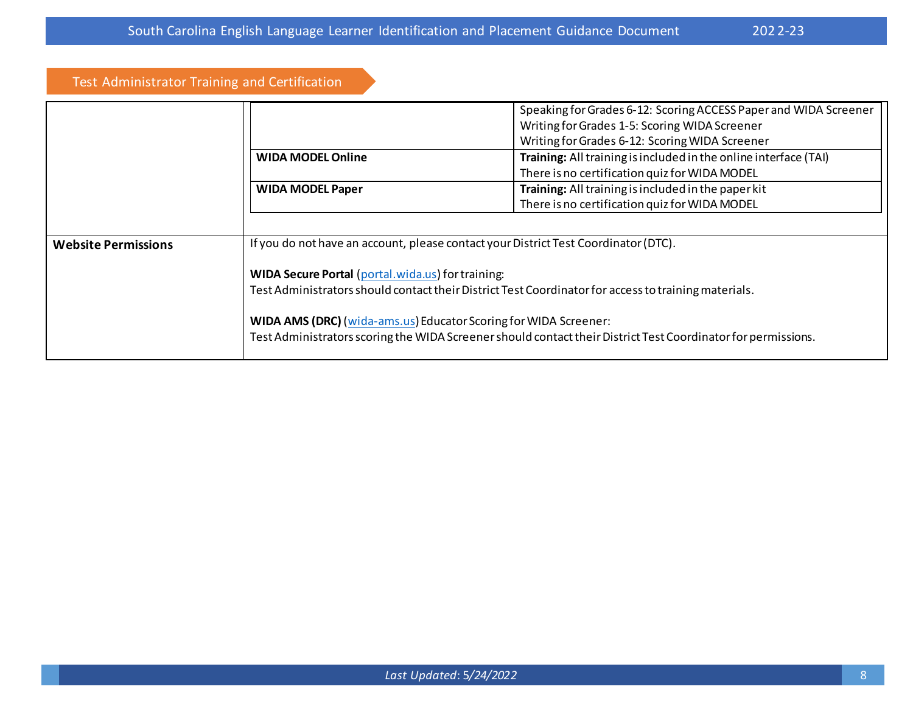## Test Administrator Training and Certification

|                            |                                                                                                      | Speaking for Grades 6-12: Scoring ACCESS Paper and WIDA Screener                                              |  |
|----------------------------|------------------------------------------------------------------------------------------------------|---------------------------------------------------------------------------------------------------------------|--|
|                            |                                                                                                      | Writing for Grades 1-5: Scoring WIDA Screener                                                                 |  |
|                            |                                                                                                      | Writing for Grades 6-12: Scoring WIDA Screener                                                                |  |
|                            | <b>WIDA MODEL Online</b>                                                                             | Training: All training is included in the online interface (TAI)                                              |  |
|                            |                                                                                                      | There is no certification quiz for WIDA MODEL                                                                 |  |
|                            | <b>WIDA MODEL Paper</b>                                                                              | Training: All training is included in the paper kit                                                           |  |
|                            |                                                                                                      | There is no certification quiz for WIDA MODEL                                                                 |  |
|                            |                                                                                                      |                                                                                                               |  |
| <b>Website Permissions</b> |                                                                                                      | If you do not have an account, please contact your District Test Coordinator (DTC).                           |  |
|                            | <b>WIDA Secure Portal (portal.wida.us) for training:</b>                                             |                                                                                                               |  |
|                            | Test Administrators should contact their District Test Coordinator for access to training materials. |                                                                                                               |  |
|                            | WIDA AMS (DRC) (wida-ams.us) Educator Scoring for WIDA Screener:                                     | Test Administrators scoring the WIDA Screener should contact their District Test Coordinator for permissions. |  |